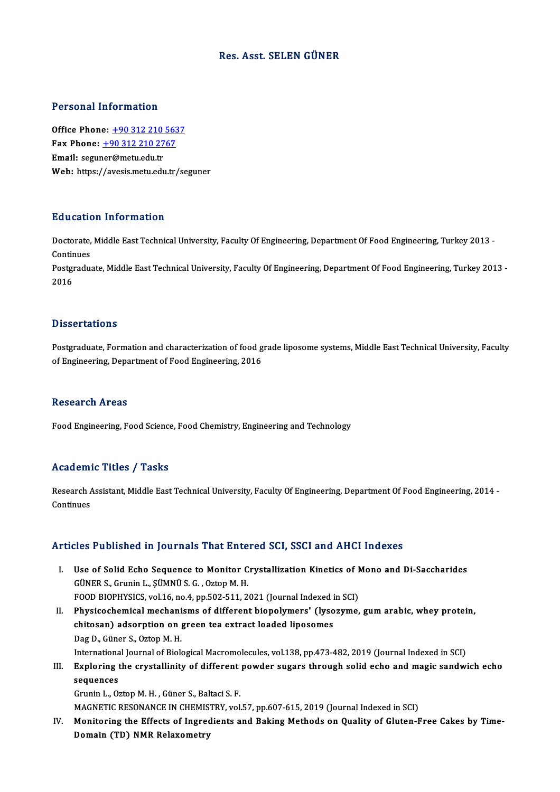#### Res. Asst. SELEN GÜNER

#### Personal Information

Office Phone: +90 312 210 5637 1 0100111 11101 1111011<br>
0ffice Phone: <u>+90 312 210 563</u><br>
Fax Phone: <u>+90 312 210 2767</u><br>
Email: segurer@matu.edu.tr Office Phone: <u>+90 312 210</u><br>Fax Phone: <u>+90 312 210 27</u><br>Email: segu[ner@metu.edu.tr](tel:+90 312 210 2767) Email: seguner@metu.edu.tr<br>Web: https://avesis.metu.edu.tr/seguner

#### Education Information

**Education Information**<br>Doctorate, Middle East Technical University, Faculty Of Engineering, Department Of Food Engineering, Turkey 2013 -<br>Continues Doctorate,<br>Continues<br>Postaredus Doctorate, Middle East Technical University, Faculty Of Engineering, Department Of Food Engineering, Turkey 2013 -<br>Continues<br>Postgraduate, Middle East Technical University, Faculty Of Engineering, Department Of Food Engine

Continues<br>Postgraduate, Middle East Technical University, Faculty Of Engineering, Department Of Food Engineering, Turkey 2013 -<br>2016

#### **Dissertations**

Dissertations<br>Postgraduate, Formation and characterization of food grade liposome systems, Middle East Technical University, Faculty<br>of Engineering, Depertment of Food Engineering, 2016 officert catrons<br>Postgraduate, Formation and characterization of food g<br>of Engineering, Department of Food Engineering, 2016 of Engineering, Department of Food Engineering, 2016<br>Research Areas

Food Engineering, Food Science, Food Chemistry, Engineering and Technology

#### Academic Titles / Tasks

Academic Titles / Tasks<br>Research Assistant, Middle East Technical University, Faculty Of Engineering, Department Of Food Engineering, 2014 -<br>Continues Research A<br>Continues

## Articles Published in Journals That Entered SCI, SSCI and AHCI Indexes

- rticles Published in Journals That Entered SCI, SSCI and AHCI Indexes<br>I. Use of Solid Echo Sequence to Monitor Crystallization Kinetics of Mono and Di-Saccharides<br>CÜNERS Crupin L. SÜMNÜS C. Oztop M. H GUS TREASHOR III JORTHUID THRE ENTERTS<br>Use of Solid Echo Sequence to Monitor C<br>GÜNER S., Grunin L., ŞÜMNÜ S. G. , Oztop M. H.<br>FOOD PIOPHYSICS vol 16 no 4 np 503 511 3 Use of Solid Echo Sequence to Monitor Crystallization Kinetics of N<br>GÜNER S., Grunin L., ŞÜMNÜ S. G. , Oztop M. H.<br>FOOD BIOPHYSICS, vol.16, no.4, pp.502-511, 2021 (Journal Indexed in SCI)<br>Physicochamical mashanisms of diff GÜNER S., Grunin L., ŞÜMNÜ S. G. , Oztop M. H.<br>FOOD BIOPHYSICS, vol.16, no.4, pp.502-511, 2021 (Journal Indexed in SCI)<br>II. Physicochemical mechanisms of different biopolymers' (lysozyme, gum arabic, whey protein,<br>chitoson
- FOOD BIOPHYSICS, vol.16, no.4, pp.502-511, 2021 (Journal Indexed i<br>Physicochemical mechanisms of different biopolymers' (lyso<br>chitosan) adsorption on green tea extract loaded liposomes<br>Pes P. Güner S. Orten M. H Physicochemical mechani<br>chitosan) adsorption on <sub>{</sub><br>Dag D., Güner S., Oztop M. H.<br>International Journal of Biok chitosan) adsorption on green tea extract loaded liposomes<br>Dag D., Güner S., Oztop M. H.<br>International Journal of Biological Macromolecules, vol.138, pp.473-482, 2019 (Journal Indexed in SCI)<br>Evnloring the envetallinity of
- Dag D., Güner S., Oztop M. H.<br>International Journal of Biological Macromolecules, vol.138, pp.473-482, 2019 (Journal Indexed in SCI)<br>III. Exploring the crystallinity of different powder sugars through solid echo and magic Internationa<br>Exploring<br>sequences<br>Crunin L. Or Exploring the crystallinity of different<br>sequences<br>Grunin L., Oztop M. H. , Güner S., Baltaci S. F.<br>MACNETIC RESONANCE IN CHEMISTRY vol sequences<br>Grunin L., Oztop M. H. , Güner S., Baltaci S. F.<br>MAGNETIC RESONANCE IN CHEMISTRY, vol.57, pp.607-615, 2019 (Journal Indexed in SCI)<br>Monitoring the Effects of Ingredients and Beking Methods on Quelity of Cluten E

Grunin L., Oztop M. H. , Güner S., Baltaci S. F.<br>MAGNETIC RESONANCE IN CHEMISTRY, vol.57, pp.607-615, 2019 (Journal Indexed in SCI)<br>IV. Monitoring the Effects of Ingredients and Baking Methods on Quality of Gluten-Free Cak MAGNETIC RESONANCE IN CHEMIS<br>Monitoring the Effects of Ingrec<br>Domain (TD) NMR Relaxometry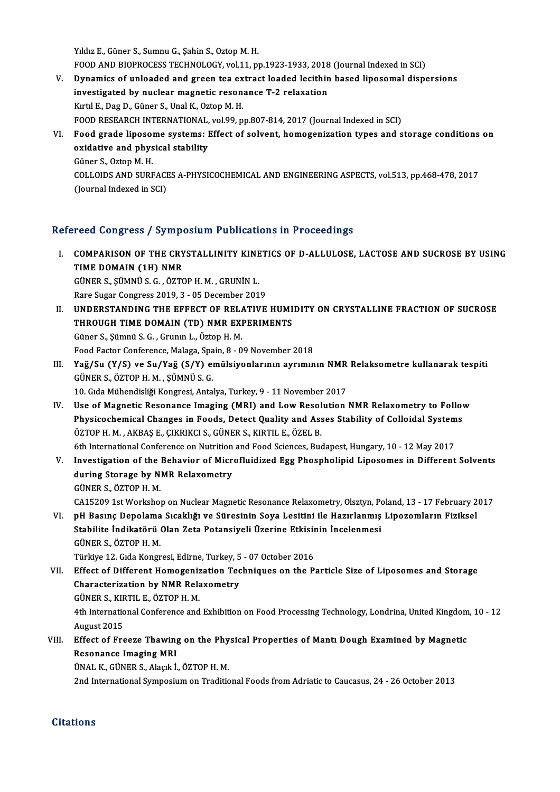Yıldız E., Güner S., Sumnu G., Şahin S., Oztop M. H. Yıldız E., Güner S., Sumnu G., Şahin S., Oztop M. H.<br>FOOD AND BIOPROCESS TECHNOLOGY, vol.11, pp.1923-1933, 2018 (Journal Indexed in SCI)<br>Punamiss of unloaded and graen tea eutrest leaded legithin based linesemal disp. V. Dynamics of unloaded and green tea extract loaded lecithin based liposomal dispersions FOOD AND BIOPROCESS TECHNOLOGY, vol.11, pp.1923-1933, 2018<br>Dynamics of unloaded and green tea extract loaded lecithin<br>investigated by nuclear magnetic resonance T-2 relaxation<br><sup>Virtl E.</sub> Des D. Günen S. Unal V. Osten M. H.</sup>

investigated by nuclear magnetic resonance T-2 relaxation<br>Kırtıl E., Dag D., Güner S., Unal K., Oztop M. H. FOOD RESEARCH INTERNATIONAL, vol.99, pp.807-814, 2017 (Journal Indexed in SCI) Kırtıl E., Dag D., Güner S., Unal K., Oztop M. H.<br>FOOD RESEARCH INTERNATIONAL, vol.99, pp.807-814, 2017 (Journal Indexed in SCI)<br>VI. Food grade liposome systems: Effect of solvent, homogenization types and storage conditio FOOD RESEARCH INTERNATIONAL,<br>Food grade liposome systems: l<br>oxidative and physical stability

Food grade liposol<br>oxidative and phys<br>Güner S., Oztop M. H.<br>COLLODS AND SUPE oxidative and physical stability<br>Güner S., Oztop M. H.<br>COLLOIDS AND SURFACES A-PHYSICOCHEMICAL AND ENGINEERING ASPECTS, vol.513, pp.468-478, 2017<br>(Journal Indoved in SCD Güner S., Oztop M. H.<br>COLLOIDS AND SURFACI<br>(Journal Indexed in SCI)

# (Journal Indexed in SCI)<br>Refereed Congress / Symposium Publications in Proceedings

efereed Congress / Symposium Publications in Proceedings<br>I. COMPARISON OF THE CRYSTALLINITY KINETICS OF D-ALLULOSE, LACTOSE AND SUCROSE BY USING<br>TIME DOMAIN (14) NMP TUCA CONSTOOR THE CRY<br>COMPARISON OF THE CRY<br>TIME DOMAIN (1H) NMR COMPARISON OF THE CRYSTALLINITY KINE<br>TIME DOMAIN (1H) NMR<br>GÜNER S., ŞÜMNÜ S. G. , ÖZTOP H. M. , GRUNİN L.<br>Para Sugar Cargrass 2019, 2., 05 Dasambar 201 TIME DOMAIN (1H) NMR<br>GÜNER S., ŞÜMNÜ S. G. , ÖZTOP H. M. , GRUNİN L.<br>Rare Sugar Congress 2019, 3 - 05 December 2019<br>UNDERSTANDING THE EFFECT OF PELATIVE

GÜNER S., ȘÜMNÜ S. G. , ÖZTOP H. M. , GRUNIN L.<br>Rare Sugar Congress 2019, 3 - 05 December 2019<br>II. UNDERSTANDING THE EFFECT OF RELATIVE HUMIDITY ON CRYSTALLINE FRACTION OF SUCROSE<br>THROUGH TIME DOMAIN (TD) NMP EXPERIMEN Rare Sugar Congress 2019, 3 - 05 December 2019<br>UNDERSTANDING THE EFFECT OF RELATIVE HUMI<br>THROUGH TIME DOMAIN (TD) NMR EXPERIMENTS<br>Cüner S. Sümnü S.C., Crunun L. Özten H.M. UNDERSTANDING THE EFFECT OF RELA<br>THROUGH TIME DOMAIN (TD) NMR EXI<br>Güner S., Şümnü S. G. , Grunın L., Öztop H. M.<br>Food Fastor Conferense Malage Spain 8 - 9 THROUGH TIME DOMAIN (TD) NMR EXPERIMENTS<br>Güner S., Şümnü S. G. , Grunin L., Öztop H. M.<br>Food Factor Conference, Malaga, Spain, 8 - 09 November 2018

Güner S., Şümnü S. G. , Grunın L., Öztop H. M.<br>Food Factor Conference, Malaga, Spain, 8 - 09 November 2018<br>III. Yağ/Su (Y/S) ve Su/Yağ (S/Y) emülsiyonlarının ayrımının NMR Relaksometre kullanarak tespiti<br>CÜNER S. ÖZTOR Food Factor Conference, Malaga, Spa<br>Yağ/Su (Y/S) ve Su/Yağ (S/Y) en<br>GÜNER S., ÖZTOP H. M. , ŞÜMNÜ S. G.<br>10. Cida Mühandisliği Kongresi, Anta Yağ/Su (Y/S) ve Su/Yağ (S/Y) emülsiyonlarının ayrımının NMR<br>GÜNER S., ÖZTOP H. M. , ŞÜMNÜ S. G.<br>10. Gıda Mühendisliği Kongresi, Antalya, Turkey, 9 - 11 November 2017<br>Hee of Magnetis Besenange Imaging (MBI) and Lew Beseluti

GÜNER S., ÖZTOP H. M. , ŞÜMNÜ S. G.<br>10. Gıda Mühendisliği Kongresi, Antalya, Turkey, 9 - 11 November 2017<br>IV. Use of Magnetic Resonance Imaging (MRI) and Low Resolution NMR Relaxometry to Follow<br>Physicochamical Changes in 10. Gıda Mühendisliği Kongresi, Antalya, Turkey, 9 - 11 November 2017<br>Use of Magnetic Resonance Imaging (MRI) and Low Resolution NMR Relaxometry to Follov<br>Physicochemical Changes in Foods, Detect Quality and Asses Stabilit Use of Magnetic Resonance Imaging (MRI) and Low Resol<br>Physicochemical Changes in Foods, Detect Quality and Ass<br>ÖZTOP H. M. , AKBAŞ E., ÇIKRIKCI S., GÜNER S., KIRTIL E., ÖZEL B.<br>Eth International Conference on Nutrition and Physicochemical Changes in Foods, Detect Quality and Asses Stability of Colloidal System<br>ÖZTOP H. M. , AKBAŞ E., ÇIKRIKCI S., GÜNER S., KIRTIL E., ÖZEL B.<br>6th International Conference on Nutrition and Food Sciences, Budape

ÖZTOP H. M. , AKBAŞ E., ÇIKRIKCI S., GÜNER S., KIRTIL E., ÖZEL B.<br>6th International Conference on Nutrition and Food Sciences, Budapest, Hungary, 10 - 12 May 2017<br>V. Investigation of the Behavior of Microfluidized Egg Phos 6th International Conference on Nutrition<br>Investigation of the Behavior of Micr<br>during Storage by NMR Relaxometry Investigation of the<br>during Storage by N.<br>GÜNER S., ÖZTOP H. M.<br>GA15200 1st Workphot during Storage by NMR Relaxometry<br>GÜNER S., ÖZTOP H. M.<br>CA15209 1st Workshop on Nuclear Magnetic Resonance Relaxometry, Olsztyn, Poland, 13 - 17 February 2017 GÜNER S., ÖZTOP H. M.<br>CA15209 1st Workshop on Nuclear Magnetic Resonance Relaxometry, Olsztyn, Poland, 13 - 17 February 2<br>VI. pH Basınç Depolama Sıcaklığı ve Süresinin Soya Lesitini ile Hazırlanmış Lipozomların Fiziksel<br>St

CA15209 1st Workshop on Nuclear Magnetic Resonance Relaxometry, Olsztyn, Po<br>PH Basınç Depolama Sıcaklığı ve Süresinin Soya Lesitini ile Hazırlanmış<br>Stabilite İndikatörü Olan Zeta Potansiyeli Üzerine Etkisinin İncelenmesi<br>C pH Basınç Depolama<br>Stabilite İndikatörü<br>GÜNER S., ÖZTOP H. M.<br>Türkiye 12. Cıda Kongr Stabilite İndikatörü Olan Zeta Potansiyeli Üzerine Etkisinin İncelenmesi<br>GÜNER S., ÖZTOP H. M.<br>Türkiye 12. Gıda Kongresi, Edirne, Turkey, 5 - 07 October 2016

GÜNER S., ÖZTOP H. M.<br>Türkiye 12. Gıda Kongresi, Edirne, Turkey, 5 - 07 October 2016<br>VII. Effect of Different Homogenization Techniques on the Particle Size of Liposomes and Storage<br>Characterization by NMB Belaxemetry Türkiye 12. Gıda Kongresi, Edirne, Turkey, 5<br>Effect of Different Homogenization Tec<br>Characterization by NMR Relaxometry<br>CÜNER S. KIRTU E. ÖZTOR H. M Effect of Different Homogeniz<br>Characterization by NMR Rela<br>GÜNER S., KIRTIL E., ÖZTOP H. M.<br>4th International Conference and Characterization by NMR Relaxometry<br>GÜNER S., KIRTIL E., ÖZTOP H. M.<br>4th International Conference and Exhibition on Food Processing Technology, Londrina, United Kingdom, 10 - 12<br>August 2015 GÜNER S., KIRTIL E., ÖZTOP H. M. 4th International Conference and Exhibition on Food Processing Technology, Londrina, United Kingdom<br>August 2015<br>VIII. Effect of Freeze Thawing on the Physical Properties of Mantı Dough Examined by Magnetic<br>Recepange Imagin

### August 2015<br>Effect of Freeze Thawing<br>Resonance Imaging MRI<br>ÜNAL K. CÜNER S. Alagk İ. Effect of Freeze Thawing on the Phy<br>Resonance Imaging MRI<br>ÜNAL K., GÜNER S., Alaçık İ., ÖZTOP H. M.<br>2nd International Sumnasium on Traditio Resonance Imaging MRI<br>ÜNAL K., GÜNER S., Alaçık İ., ÖZTOP H. M.<br>2nd International Symposium on Traditional Foods from Adriatic to Caucasus, 24 - 26 October 2013

### **Citations**